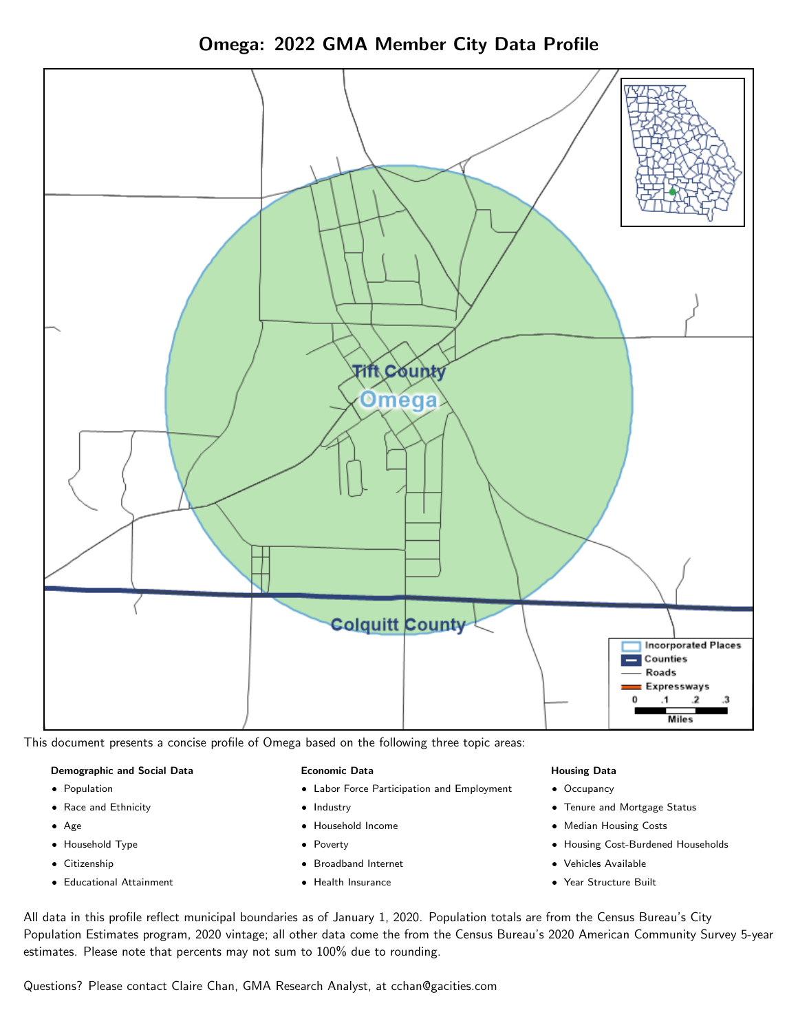



This document presents a concise profile of Omega based on the following three topic areas:

### Demographic and Social Data

- **•** Population
- Race and Ethnicity
- Age
- Household Type
- **Citizenship**
- Educational Attainment

### Economic Data

- Labor Force Participation and Employment
- Industry
- Household Income
- Poverty
- Broadband Internet
- Health Insurance

### Housing Data

- Occupancy
- Tenure and Mortgage Status
- Median Housing Costs
- Housing Cost-Burdened Households
- Vehicles Available
- Year Structure Built

All data in this profile reflect municipal boundaries as of January 1, 2020. Population totals are from the Census Bureau's City Population Estimates program, 2020 vintage; all other data come the from the Census Bureau's 2020 American Community Survey 5-year estimates. Please note that percents may not sum to 100% due to rounding.

Questions? Please contact Claire Chan, GMA Research Analyst, at [cchan@gacities.com.](mailto:cchan@gacities.com)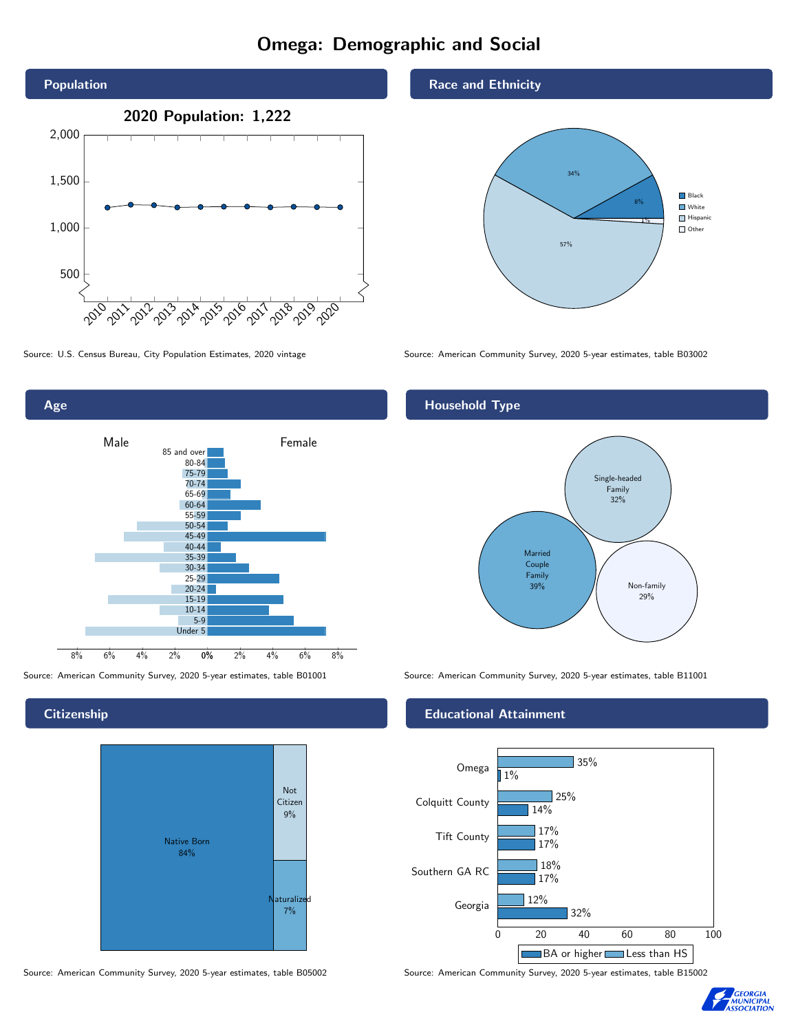# Omega: Demographic and Social



Age 0% 2% 4% 6% 8% Male **Female** 8% 6% 4% 2% 85 and over 80-84 75-79 70-74 65-69 60-64 55-59 50-54 45-49 40-44 35-39 30-34 25-29 20-24 15-19  $10-14$ 5-9 Under 5

**Citizenship** 



Source: American Community Survey, 2020 5-year estimates, table B05002 Source: American Community Survey, 2020 5-year estimates, table B15002

### Race and Ethnicity



Source: U.S. Census Bureau, City Population Estimates, 2020 vintage Source: American Community Survey, 2020 5-year estimates, table B03002

## Household Type



Source: American Community Survey, 2020 5-year estimates, table B01001 Source: American Community Survey, 2020 5-year estimates, table B11001

### Educational Attainment



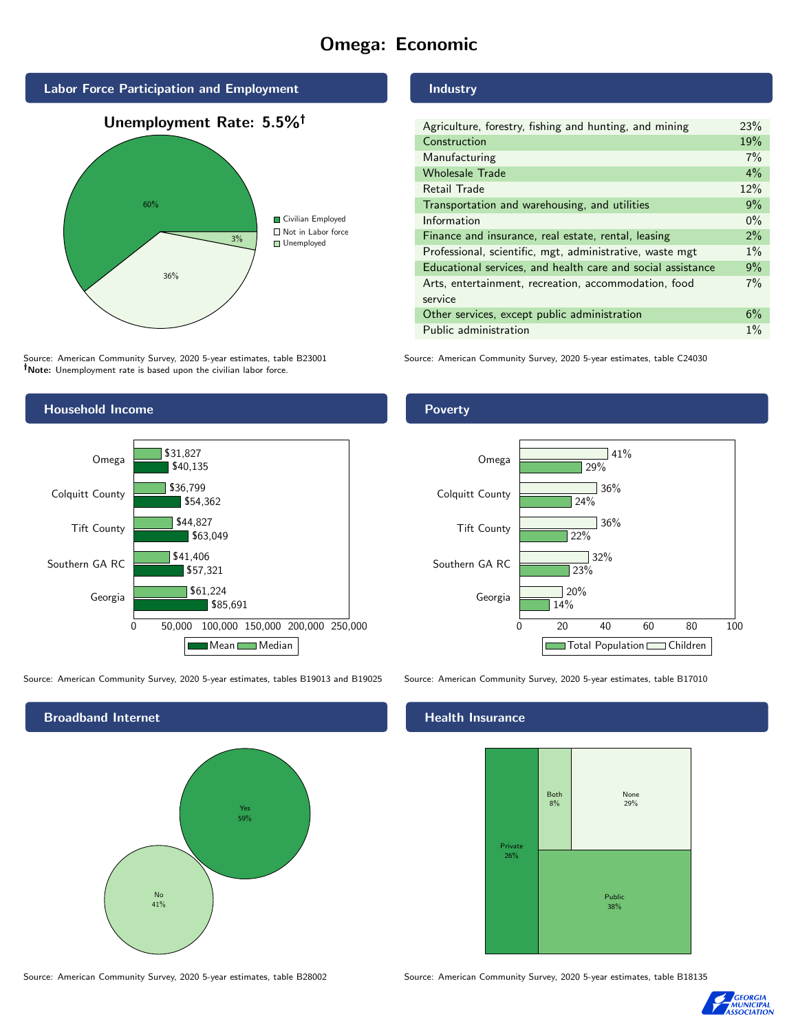# Omega: Economic



Source: American Community Survey, 2020 5-year estimates, table B23001 Note: Unemployment rate is based upon the civilian labor force.

### Household Income 0 50,000 100,000 150,000 200,000 250,000 Georgia Southern GA RC Tift County Colquitt County Omega \$85,691 \$57,321 \$63,049 \$54,362 \$40,135 \$61,224 \$41,406 \$44,827 \$36,799 \$31,827 Mean Median

Source: American Community Survey, 2020 5-year estimates, tables B19013 and B19025 Source: American Community Survey, 2020 5-year estimates, table B17010



Industry

| Agriculture, forestry, fishing and hunting, and mining      | 23%   |
|-------------------------------------------------------------|-------|
| Construction                                                | 19%   |
| Manufacturing                                               | 7%    |
| <b>Wholesale Trade</b>                                      | 4%    |
| Retail Trade                                                | 12%   |
| Transportation and warehousing, and utilities               | 9%    |
| Information                                                 | $0\%$ |
| Finance and insurance, real estate, rental, leasing         | $2\%$ |
| Professional, scientific, mgt, administrative, waste mgt    | $1\%$ |
| Educational services, and health care and social assistance | 9%    |
| Arts, entertainment, recreation, accommodation, food        | 7%    |
| service                                                     |       |
| Other services, except public administration                | 6%    |
| Public administration                                       | $1\%$ |
|                                                             |       |

Source: American Community Survey, 2020 5-year estimates, table C24030

**Poverty** 



### Health Insurance



Source: American Community Survey, 2020 5-year estimates, table B28002 Source: American Community Survey, 2020 5-year estimates, table B18135